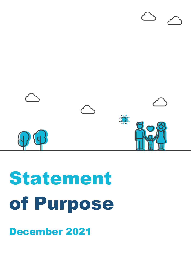# Statement of Purpose



December 2021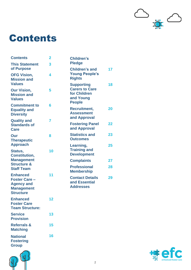

### Contents

| <b>Contents</b>                                                                                       | $\overline{2}$ | <b>Children's</b>                                                                        |  |
|-------------------------------------------------------------------------------------------------------|----------------|------------------------------------------------------------------------------------------|--|
| <b>This Statement</b><br>of Purpose                                                                   | 3              | <b>Pledge</b>                                                                            |  |
| <b>OFG Vision,</b><br><b>Mission and</b>                                                              | 4              | <b>Children's and</b><br><b>Young People's</b><br><b>Rights</b>                          |  |
| <b>Values</b><br><b>Our Vision,</b>                                                                   | 5              | <b>Supporting</b><br><b>Carers to Care</b><br>for Children<br>and Young<br><b>People</b> |  |
| <b>Mission and</b><br><b>Values</b>                                                                   |                |                                                                                          |  |
| <b>Commitment to</b><br><b>Equality and</b><br><b>Diversity</b>                                       | 6              | <b>Recruitment,</b><br><b>Assessment</b><br>and Approval                                 |  |
| <b>Quality and</b><br><b>Standards of</b><br><b>Care</b>                                              | 7              | <b>Fostering Panel</b><br>and Approval                                                   |  |
| Our<br><b>Therapeutic</b>                                                                             | 8              | <b>Statistics and</b><br><b>Outcomes</b>                                                 |  |
| <b>Approach</b><br>Status,                                                                            | 10             | Learning,<br><b>Training and</b><br><b>Development</b>                                   |  |
| <b>Constitution,</b><br><b>Management</b>                                                             |                | <b>Complaints</b>                                                                        |  |
| <b>Structure &amp;</b><br><b>Staff Team</b>                                                           |                | <b>Professional</b><br><b>Membership</b>                                                 |  |
| <b>Enhanced</b><br><b>Foster Care -</b><br><b>Agency and</b><br><b>Management</b><br><b>Structure</b> | 11             | <b>Contact Details</b><br>and Essential<br><b>Addresses</b>                              |  |
| <b>Enhanced</b><br><b>Foster Care</b><br><b>Team Structure:</b>                                       | 12             |                                                                                          |  |
| <b>Service</b><br><b>Provision</b>                                                                    | 13             |                                                                                          |  |
| <b>Referrals &amp;</b><br><b>Matching</b>                                                             | 15             |                                                                                          |  |
| <b>National</b><br><b>Fostering</b><br><b>Group</b>                                                   | 16             |                                                                                          |  |



| enhanced foster care |  |
|----------------------|--|

**17**

**18**

**20**

**22**

**23**

**25**

**Complaints 27**

**28**

**29**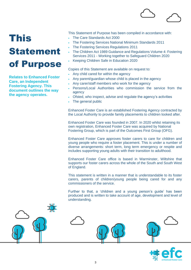

# This Statement of Purpose

**Relates to Enhanced Foster Care, an Independent Fostering Agency. This document outlines the way the agency operates.**

This Statement of Purpose has been compiled in accordance with:

- The Care Standards Act 2000
- The Fostering Services National Minimum Standards 2011
- The Fostering Services Regulations 2011
- The Children Act 1989 Guidance and Regulations Volume 4: Fostering Services 2011 - Working together to Safeguard Children 2020
- Keeping Children Safe in Education 2020

Copies of this Statement are available on request to:

- Any child cared for within the agency
- Any parent/guardian whose child is placed in the agency
- Any carer/staff members who work for the agency
- Persons/Local Authorities who commission the service from the agency
- Ofsted, who inspect, advise and regulate the agency's activities
- The general public

Enhanced Foster Care is an established Fostering Agency contracted by the Local Authority to provide family placements to children looked after.

Enhanced Foster Care was founded in 2007. In 2020 whilst retaining its own registration, Enhanced Foster Care was acquired by National Fostering Group, which is part of the Outcomes First Group (OFG).

Enhanced Foster Care approves foster carers to care for children and young people who require a foster placement. This is under a number of diverse arrangements: short term, long term emergency or respite and includes supporting young adults with their transition to adulthood.

Enhanced Foster Care office is based in Warminster, Wiltshire that supports our foster carers across the whole of the South and South West of England.

This statement is written in a manner that is understandable to its foster carers, parents of children/young people being cared for and any commissioners of the service.

Further to that, a 'children and a young person's guide' has been produced and is written to take account of age, development and level of understanding.



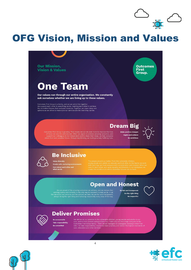

### OFG Vision, Mission and Values





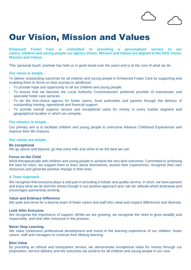### Our Vision, Mission and Values

**Enhanced Foster Care is committed to providing a personalised service to our carers, children and young people our agency Vision, Mission and Values are aligned to the OFG Vision, Mission and Values.**

This 'personal touch' promise has held us in good stead over the years and is at the core of what we do.

#### **Our vision is simple…**

To deliver outstanding outcomes for all children and young people in Enhanced Foster Care by supporting and enabling them to thrive on their journey to adulthood.

- To provide hope and opportunity to all our children and young people.
- To ensure that we become the Local Authority Commissioners preferred provider of mainstream and specialist foster care services.
- To be the first-choice agency for foster carers, local authorities and parents through the delivery of outstanding training, operational and financial support.
- To provide overall superior service and exceptional value for money in every market segment and geographical location in which we compete.

#### **Our mission is simple…**

Our primary aim is to facilitate children and young people to overcome Adverse Childhood Experiences and improve their life chances.

#### **Our values are simple…**

#### **Be exceptional**

We go above and beyond, go that extra mile and strive to be the best we can.

#### **Focus on the Child**

Work therapeutically with children and young people to achieve the very best outcomes. Committed to achieving the best for them, we support them to learn about themselves, assess their experiences, recognise their own resources and generate positive change in their lives.

#### **A Team Approach**

We recognise that everyone plays a vital part in providing a holistic and quality service. In short, we have passion and enjoy what we do and this shines though in our positive approach and 'can do' attitude which embraces and encourages partnership working.

#### **Value and Embrace Difference**

We seek and strive for a diverse team of foster carers and staff who value and respect differences and diversity.

#### **Look After Everyone**

We recognise the importance of support. Whilst we are growing, we recognise the need to grow steadily and responsibly, and look after everyone in the process.

#### **Never Stop Learning**

We value continuous professional development and invest in the learning experience of our children, foster carers, staff and managers to continue their lifelong learning.

#### **Best Value**

By providing an ethical and transparent service, we demonstrate exceptional value for money through our proposition, service delivery and the outcomes we achieve for all children and young people in our care.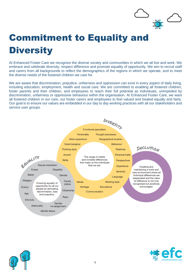

### Commitment to Equality and **Diversity**

At Enhanced Foster Care we recognize the diverse society and communities in which we all live and work. We embrace and celebrate diversity, respect difference and promote equality of opportunity. We aim to recruit staff and carers from all backgrounds to reflect the demographics of the regions in which we operate, and to meet the diverse needs of the fostered children we care for.

We are aware that discrimination, prejudice, unfairness and oppression can exist in every aspect of daily living, including education, employment, health and social care. We are committed to enabling all fostered children, foster parents and their children, and employees to reach their full potential as individuals, unimpeded by discrimination, unfairness or oppressive behaviour within the organisation. At Enhanced Foster Care, we want all fostered children in our care, our foster carers and employees to feel valued and treated equally and fairly. Our goal is to ensure our values are embedded in our day to day working practices with all our stakeholders and service user groups.





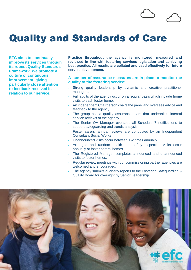### Quality and Standards of Care

**EFC aims to continually improve its services through its robust Quality Standards Framework. We promote a culture of continuous improvement, giving particularly close attention to feedback received in relation to our service.**

**Practice throughout the agency is monitored, measured and reviewed in line with fostering services legislation and achieving best practice. All results are collated and used effectively for future service development.** 

#### **A number of assurance measures are in place to monitor the quality of the fostering service:**

- Strong quality leadership by dynamic and creative practitioner managers.
- Full audits of the agency occur on a regular basis which include home visits to each foster home.
- An independent Chairperson chairs the panel and oversees advice and feedback to the agency.
- The group has a quality assurance team that undertakes internal service reviews of the agency.
- The Senior QA Manager oversees all Schedule 7 notifications to support safeguarding and trends analysis.
- Foster carers' annual reviews are conducted by an Independent Consultant Social Worker.
- Unannounced visits occur between 1-2 times annually.
- Arranged and random health and safety inspection visits occur annually at foster carers' homes.
- The Registered Manager completes announced and unannounced visits to foster homes.
- Regular review meetings with our commissioning partner agencies are welcomed and encouraged.
- The agency submits quarterly reports to the Fostering Safeguarding & Quality Board for oversight by Senior Leadership.

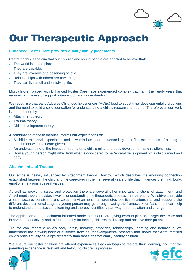

### Our Therapeutic Approach

#### **Enhanced Foster Care provides quality family placements.**

Central to this is the aim that our children and young people are enabled to believe that:

- The world is a safe place.
- They are capable.
- They are loveable and deserving of love.
- Relationships with others are rewarding.
- They can live a full and satisfying life.

Most children placed with Enhanced Foster Care have experienced complex trauma in their early years that requires high levels of support, intervention and understanding.

We recognise that early Adverse Childhood Experiences (ACEs) lead to substantial developmental disruptions and the need to build a solid foundation for understanding a child's response to trauma. Therefore, all our work is underpinned by:

- Attachment theory.
- Trauma theory.
- Child development theory.

A combination of these theories informs our expectations of:

- A child's relational expectation and how this has been influenced by their first experiences of binding or attachment with their care-givers.
- An understanding of the impact of trauma on a child's mind and body development and relationships.
- How a young person might differ from what is considered to be "normal development" of a child's mind and body.

#### **Attachment and Trauma**

Our ethos is heavily influenced by Attachment theory (Bowlby), which describes the enduring connection established between the child and the care-giver in the first several years of life that influences the mind, body, emotions, relationships and values.

As well as providing safety and protection there are several other important functions of attachment, and Attachment theory provides a way of understanding the therapeutic process in re-parenting. We strive to provide a safe, secure, consistent and certain environment that promotes positive relationships and supports the different developmental stages a young person may go through. Using the framework for Attachment can help to understand the obstacles to learning and thereby identifies a pathway to remediation and change.

The application of an attachment-informed model helps our care-giving team to plan and target their care and intervention effectively and to feel empathy for helping children to develop and achieve their potential.

Trauma can impact a child's body, brain, memory, emotions, relationships, learning and behaviour. We understand the growing body of evidence from neurodevelopmental research that shows that a traumatised child's brain actually develops differently than those of emotionally healthy children.

We ensure our foster children are offered experiences that can begin to restore their learning, and that the parenting experience is relevant and helpful to children's progress.



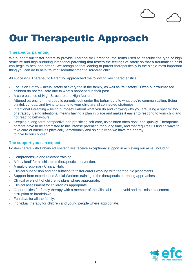### Our Therapeutic Approach

#### **Therapeutic parenting**

We support our foster carers to provide Therapeutic Parenting, the terms used to describe the type of high structure and high nurturing intentional parenting that fosters the feelings of safety so that a traumatised child can begin to heal and attach. We recognise that leaning to parent therapeutically is the single most important thing you can do to help traumatised/attachment-disordered child.

All successful Therapeutic Parenting approached the following key characteristics:

- Focus on Safety actual safety of everyone in the family, as well as "felt safety". Often our traumatised children do not feel safe due to what's happened in their past.
- A care balance of High Structure and High Nurture.
- Attuned parenting therapeutic parents look under the behaviours to what they're communicating. Being playful, curious, and trying to attune to your child are all connected strategies.
- Intentional Parenting being purposeful about what you do and knowing why you are using a specific tool or strategy. Being intentional means having a plan in place and makes it easier to respond to your child and not react to behaviours.
- Keeping a long-term perspective and practicing self-care, as children often don't heal quickly. Therapeutic parents have to be committed to this intense parenting for a long time, and that requires us finding ways to take care of ourselves physically, emotionally and spiritually so we have the energy to give to our children.

#### **The support you can expect**

Fosters carers with Enhanced Foster Care receive exceptional support in achieving our aims, including:

- Comprehensive and relevant training.
- A 'key lead' for all children's therapeutic intervention.
- A multi-disciplinary Clinical Hub.
- Clinical supervision and consultation to foster carers working with therapeutic placements.
- Support from experienced Social Workers training in the therapeutic parenting approaches .
- Clinical oversight of children's plans where appropriate.
- Clinical assessment for children as appropriate.
- Opportunities for family therapy with a member of the Clinical Hub to avoid and minimise placement disruption or breakdown.
- Fun days for all the family.
- Individual therapy for children and young people where appropriate.

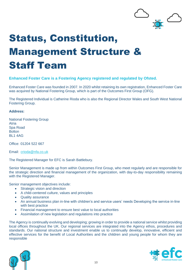

# Status, Constitution, Management Structure & Staff Team

#### **Enhanced Foster Care is a Fostering Agency registered and regulated by Ofsted.**

Enhanced Foster Care was founded in 2007. In 2020 whilst retaining its own registration, Enhanced Foster Care was acquired by National Fostering Group, which is part of the Outcomes First Group (OFG).

The Registered Individual is Catherine Rioda who is also the Regional Director Wales and South West National Fostering Group.

#### **Address:**

National Fostering Group Atria Spa Road **Bolton** BL1 4AG

Office: [01204](tel:01204%20522%20667) 522 667

Email: [crioda@nfa.co.uk](mailto:crioda@nfa.co.uk)

The Registered Manager for EFC is Sarah Battlebury.

Senior Management is made up from within Outcomes First Group, who meet regularly and are responsible for the strategic direction and financial management of the organization, with day-to-day responsibility remaining with the Registered Manager.

Senior management objectives include:

- Strategic vision and direction
- A child-centered culture, values and principles
- Quality assurance
- An annual business plan in-line with children's and service users' needs Developing the service in-line with best practice
- Financial management to ensure best value to local authorities
- Assimilation of new legislation and regulations into practice

The Agency is continually evolving and developing; growing in order to provide a national service whilst providing local offices throughout the UK. Our regional services are integrated into the Agency ethos, procedures and standards. Our national structure and investment enable us to continually develop, innovative, efficient and effective services for the benefit of Local Authorities and the children and young people for whom they are responsible



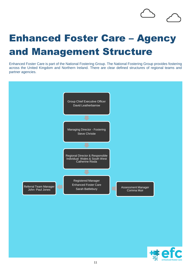## Enhanced Foster Care – Agency and Management Structure

Enhanced Foster Care is part of the National Fostering Group. The National Fostering Group provides fostering across the United Kingdom and Northern Ireland. There are clear defined structures of regional teams and partner agencies.



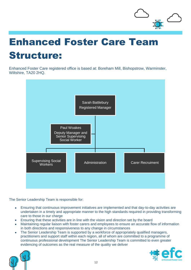

# Enhanced Foster Care Team Structure:

Enhanced Foster Care registered office is based at: Boreham Mill, Bishopstrow, Warminster, Wiltshire, TA20 2HQ.



The Senior Leadership Team is responsible for:

- Ensuring that continuous improvement initiatives are implemented and that day-to-day activities are undertaken in a timely and appropriate manner to the high standards required in providing transforming care to those in our charge
- Ensuring that these activities are in line with the vision and direction set by the board
- Maintaining regular liaison with foster carers and employees to ensure an accurate flow of information in both directions and responsiveness to any change in circumstances
- The Senior Leadership Team is supported by a workforce of appropriately qualified managers, practitioners and support staff within each region, all of whom are committed to a programme of continuous professional development The Senior Leadership Team is committed to even greater evidencing of outcomes as the real measure of the quality we deliver



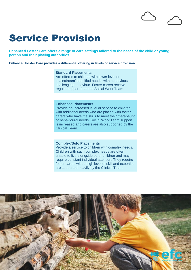### Service Provision

**Enhanced Foster Care offers a range of care settings tailored to the needs of the child or young person and their placing authorities.**

**Enhanced Foster Care provides a differential offering in levels of service provision**

#### **Standard Placements**

Are offered to children with lower level or 'mainstream' identified needs, with no obvious challenging behaviour. Foster carers receive regular support from the Social Work Team.

#### **Enhanced Placements**

Provide an increased level of service to children with additional needs who are placed with foster carers who have the skills to meet their therapeutic or behavioural needs. Social Work Team support is increased and carers are also supported by the Clinical Team.

#### **Complex/Solo Placements**

Provide a service to children with complex needs. Children with such complex needs are often unable to live alongside other children and may require constant individual attention. They require foster carers with a high level of skill and expertise are supported heavily by the Clinical Team.

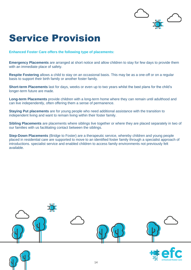

### Service Provision

**Enhanced Foster Care offers the following type of placements:**

**Emergency Placements** are arranged at short notice and allow children to stay for few days to provide them with an immediate place of safety.

**Respite Fostering** allows a child to stay on an occasional basis. This may be as a one-off or on a regular basis to support their birth family or another foster family.

**Short-term Placements** last for days, weeks or even up to two years whilst the best plans for the child's longer-term future are made.

**Long-term Placements** provide children with a long-term home where they can remain until adulthood and can live independently, often offering them a sense of permanence.

**Staying Put placements** are for young people who need additional assistance with the transition to independent living and want to remain living within their foster family.

**Sibling Placements** are placements where siblings live together or where they are placed separately in two of our families with us facilitating contact between the siblings.

**Step-Down Placements** (Bridge to Foster) are a therapeutic service, whereby children and young people placed in residential care are supported to move to an identified foster family through a specialist approach of introductions. specialist service and enabled children to access family environments not previously felt available.



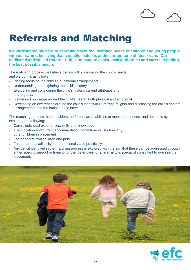### Referrals and Matching

**We work incredibly hard to carefully match the identified needs of children and young people with our carers, believing that a quality match is at the cornerstone of foster care. Our dedicated and skilled Referral Hub is on hand to assist local authorities and carers in finding the best possible match.** 

The matching process we believe begins with considering the child's needs and we do this as follows:

- Placing focus on the child's Educational arrangements
- Understanding and exploring the child's history
- Evaluating and considering the child's history, current attributes and future goals.
- Gathering knowledge around the child's health, both physical and emotional.
- Developing an awareness around the child's identity/culture/race/religion and discussing the child's contact arrangements and the impact these have

The matching process then considers the foster carers abilities to meet those needs, and does this by exploring the following:

- Carers individual experiences, skills and knowledge
- Their location and current accommodation commitments, such as any other children in placement
- Foster carers own children and pets
- Foster carers availability both emotionally and practically
- Any deficit identified in the matching process is explored with the aim that these can be addressed through either specific support or training for the foster carer or a referral to a specialist consultant to oversee the placement.



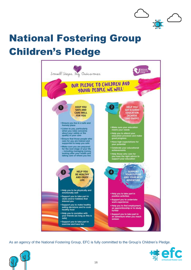

# National Fostering Group Children's Pledge



As an agency of the National Fostering Group, EFC is fully committed to the Group's Children's Pledge.



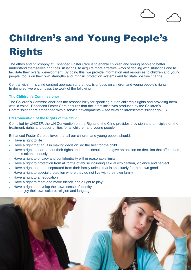# Children's and Young People's Rights

The ethos and philosophy at Enhanced Foster Care is to enable children and young people to better understand themselves and their situations, to acquire more effective ways of dealing with situations and to facilitate their overall development. By doing this, we provide information and resources to children and young people, focus on their own strengths and intrinsic protection systems and facilitate positive change.

Central within this child centred approach and ethos, is a focus on children and young people's rights. In doing so, we encompass the work of the following:

#### **The Children's Commissioner**

The Children's Commissioner has the responsibility for speaking out on children's rights and providing them with 'a voice'. Enhanced Foster Care ensures that the latest initiatives produced by the Children's Commissioner are embedded within service developments – see [www.childrenscommissioner.gov.uk](http://www.childrenscommissioner.gov.uk/)

#### **UN Convention of the Rights of the Child**

Compiled by UNICEF, the UN Convention on the Rights of the Child provides provision and principles on the treatment, rights and opportunities for all children and young people.

Enhanced Foster Care believes that all our children and young people should:

- Have a right to life
- Have a right that adult in making decision, do the best for the child
- Have a right to learn about their rights and to be consulted and give an opinion on decision that affect them, that is taken seriously
- Have a right to privacy and confidentiality within reasonable limits
- Have a right to protection from all forms of abuse including sexual exploitation, violence and neglect
- Have a right not to be separated from their family unless that is absolutely for their own good
- Have a right to special protection where they do not live with their own family
- Have a right to an education
- Have a right to meet and make friends and a right to play
- Have a right to develop their own sense of identity and enjoy their own culture, religion and language.

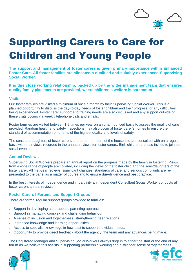

# Supporting Carers to Care for Children and Young People

**The support and management of foster carers is given primary importance within Enhanced Foster Care. All foster families are allocated a qualified and suitably experienced Supervising Social Worker.** 

**It is this close working relationship, backed up by the wider management team that ensures quality family placements are provided, where children's welfare is paramount.**

#### **Visits**

Our foster families are visited a minimum of once a month by their Supervising Social Worker. This is a planned opportunity to discuss the day-to-day needs of foster children and their progress, or any difficulties being experienced. Foster carer support and training needs are also discussed and any support outside of these visits occurs via weekly telephone calls and emails.

Foster families are visited between 1-2 times per year on an unannounced basis to assess the quality of care provided. Random health and safety inspections may also occur at foster carer's homes to ensure the standard of accommodation on offer is of the highest quality and levels of safety.

The sons and daughters of foster carers and other members of the household are consulted with on a regular basis with their views recorded in the annual reviews for foster carers. Birth children are also invited to join our social events.

#### **Annual Reviews**

Supervising Social Workers prepare an annual report on the progress made by the family in fostering. Views from a wide range of people are collated, including the views of the foster child and the sons/daughters of the foster carer. All first-year reviews, significant changes, standards of care, and serious complaints are represented to the panel as a matter of course and to ensure due-diligence and best practice.

In the best interests of independence and impartiality an independent Consultant Social Worker conducts all foster carers annual reviews

#### **Foster Carers l Forums and Support Groups**

There are formal regular support groups provided to families:

- Support in developing a therapeutic parenting approach
- Support in managing complex and challenging behaviour
- A sense of inclusion and togetherness, strengthening peer relations
- Increased knowledge and learning opportunities
- Access to specialist knowledge in how best to support individual needs.
- Opportunity to provide direct feedback about the agency, the team and any advances being made.

The Registered Manager and Supervising Social Workers always drop in to either the start or the end of any forum as we believe this assists in supporting partnership working and a stronger sense of togetherness.



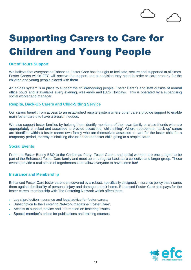## Supporting Carers to Care for Children and Young People

#### **Out of Hours Support**

We believe that everyone at Enhanced Foster Care has the right to feel safe, secure and supported at all times. Foster Carers within EFC will receive the support and supervision they need in order to care properly for the children and young people placed with them.

An on-call system is in place to support the children/young people, Foster Carer's and staff outside of normal office hours and is available every evening, weekends and Bank Holidays. This is operated by a supervising social worker and manager.

#### **Respite, Back-Up Carers and Child-Sitting Service**

Our carers benefit from access to an established respite system where other carers provide support to enable main foster carers to have a break if needed.

We also support foster families by helping them identify members of their own family or close friends who are appropriately checked and assessed to provide occasional 'child-sitting'. Where appropriate, 'back-up' carers are identified within a foster carers own family who are themselves assessed to care for the foster child for a temporary period, thereby minimising disruption for the foster child going to a respite carer.

#### **Social Events**

From the Easter Bunny BBQ to the Christmas Party, Foster Carers and social workers are encouraged to be part of the Enhanced Foster Care family and meet up on a regular basis as a collective and larger group. These events provide a real sense of togetherness and allow everyone to have some fun!

#### **Insurance and Membership**

Enhanced Foster Care foster carers are covered by a robust, specifically designed, insurance policy that insures them against the liability of personal injury and damage in their home. Enhanced Foster Care also pays for the foster carers' membership with The Fostering Network which offers them:

- Legal protection insurance and legal advice for foster carers.
- Subscription to the Fostering Network magazine 'Foster Care'.
- Access to support, advice and information on fostering issues.
- Special member's prices for publications and training courses.

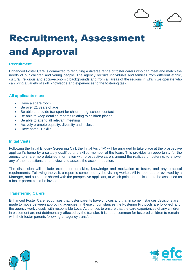

# Recruitment, Assessment and Approval

#### **Recruitment**

Enhanced Foster Care is committed to recruiting a diverse range of foster carers who can meet and match the needs of our children and young people. The agency recruits individuals and families from different ethnic, cultural, religious and socio-economic backgrounds and from all areas of the regions in which we operate who can bring a variety of skill, knowledge and experiences to the fostering task.

#### **All applicants must:**

- Have a spare room
- Be over 21 years of age
- Be able to provide transport for children e.g. school, contact
- Be able to keep detailed records relating to children placed
- Be able to attend all relevant meetings
- Actively promote equality, diversity and inclusion
- Have some IT skills

#### **Initial Visits**

Following the Initial Enquiry Screening Call, the Initial Visit (IV) will be arranged to take place at the prospective applicant's home by a suitably qualified and skilled member of the team. This provides an opportunity for the agency to share more detailed information with prospective carers around the realities of fostering, to answer any of their questions, and to view and assess the accommodation.

The discussion will include exploration of skills, knowledge and motivation to foster, and any practical requirements. Following the visit, a report is completed by the visiting worker. All IV reports are reviewed by a Manager, and outcomes shared with the prospective applicant, at which point an application to be assessed as a foster parent could be invited.

#### Tra**nsferring Carers**

Enhanced Foster Care recognises that foster parents have choices and that in some instances decisions are made to move between approving agencies. In these circumstances the Fostering Protocols are followed, and the agency work closely with responsible Local Authorities to ensure that the care experiences of any children in placement are not detrimentally affected by the transfer. It is not uncommon for fostered children to remain with their foster parents following an agency transfer.



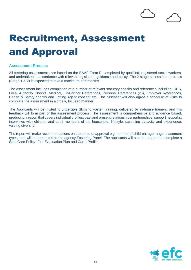# Recruitment, Assessment and Approval

#### **Assessment Process**

All fostering assessments are based on the BAAF Form F, completed by qualified, registered social workers, and undertaken in accordance with relevant legislation, guidance and policy. The 2-stage assessment process (Stage 1 & 2) is expected to take a maximum of 6 months.

The assessment includes completion of a number of relevant statutory checks and references including: DBS, Local Authority Checks, Medical, Ex-Partner References, Personal References (x3), Employer References, Health & Safety checks and Letting Agent consent etc. The assessor will also agree a schedule of visits to complete the assessment in a timely, focused manner.

The Applicants will be invited to undertake Skills to Foster Training, delivered by in-house trainers, and this feedback will form part of the assessment process. The assessment is comprehensive and evidence based, producing a report that covers individual profiles, past and present relationships/ partnerships, support networks, interviews with children and adult members of the household, lifestyle, parenting capacity and experience, valuing diversity.

The report will make recommendations on the terms of approval e.g. number of children, age range, placement types, and will be presented to the agency Fostering Panel. The applicants will also be required to complete a Safe Care Policy, Fire Evacuation Plan and Carer Profile.

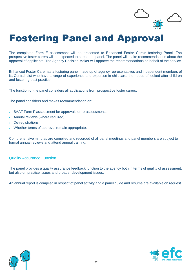

### Fostering Panel and Approval

The completed Form F assessment will be presented to Enhanced Foster Care's fostering Panel. The prospective foster carers will be expected to attend the panel. The panel will make recommendations about the approval of applicants. The Agency Decision Maker will approve the recommendations on behalf of the service.

Enhanced Foster Care has a fostering panel made up of agency representatives and independent members of its Central List who have a range of experience and expertise in childcare, the needs of looked after children and fostering best practice.

The function of the panel considers all applications from prospective foster carers.

The panel considers and makes recommendation on:

- BAAF Form F assessment for approvals or re-assessments
- Annual reviews (where required)
- De-registrations
- Whether terms of approval remain appropriate.

Comprehensive minutes are compiled and recorded of all panel meetings and panel members are subject to formal annual reviews and attend annual training.

#### Quality Assurance Function

The panel provides a quality assurance feedback function to the agency both in terms of quality of assessment, but also on practice issues and broader development issues.

An annual report is compiled in respect of panel activity and a panel guide and resume are available on request.



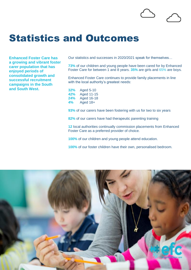### Statistics and Outcomes

**Enhanced Foster Care has a growing and vibrant foster carer population that has enjoyed periods of consolidated growth and successful recruitment campaigns in the South and South West.**

Our statistics and successes in 2020/2021 speak for themselves…

**73%** of our children and young people have been cared for by Enhanced Foster Care for between 1 and 8 years. **35%** are girls and 65% are boys.

Enhanced Foster Care continues to provide family placements in line with the local authority's greatest needs:

**32%** Aged 5-10 **42%** Aged 11-15 **24%** Aged 16-18 **4%** Aged 18+

**93%** of our carers have been fostering with us for two to six years

**82%** of our carers have had therapeutic parenting training

**12** local authorities continually commission placements from Enhanced Foster Care as a preferred provider of choice.

**100%** of our children and young people attend education.

**100%** of our foster children have their own, personalised bedroom.

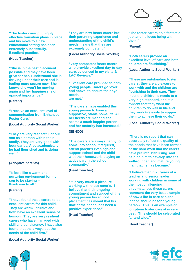

#### **(Head Teacher)**

**"She is in the best placement possible and they have been great for her. I understand she is thriving under their care and is feeling more secure now. She knows she won't be moving again and her happiness is of upmost importance."**

#### **(Parent)**

**"I receive an excellent level of communication from Enhanced Foster Care."**

**(Local Authority Social Worker)**

**"They are very respectful of our son as a person within their family. They are very good with boundaries. Also academically he had flourished and is doing well."**

#### **(Adoptive parents)**

**"It feels like a warm and nurturing environment for my son to be staying – thank you to all."**

#### **(Parent)**

**"I have found these carers to be excellent carers for this child. They are warm, intuitive and both have an excellent sense of humour. They are very resilient carers who have managed with skill and consistency. I have also found that the always put the needs of the child first."**

**(Local Authority Social Worker)**



**"They are new foster carers but their parenting experience and understanding of the child's needs means that they are extremely competent."**

**(Local Authority Social Worker)**

**"Very competent foster carers who provide excellent day-to-day care, evidenced in my visits & LAC Reviews."**

**"Excellent care provided to both young people. Carers go 'over and above' to ensure the boys needs are met."**

**"The carers have enabled this young person to have a supportive, stable home life. All her needs are met and she seems a much happier person and her maturity has increased."**

#### **(SENCO)**

**"The carers are always happy to come into school if required, attend parent's evenings and support school and the child with their homework, playing an active part in the school community."**

#### **(Head Teacher)**

**"It is very much a pleasure working with these carer's. I believe that their ongoing commitment and support of this young person his school placement has meant that his time at the school has been a positive experience."**

**(Head Teacher)**



**"The foster carers do a fantastic job, and he loves being with them."**

**(Parent)**

**"Both carers provide an excellent level of care and both children are flourishing."**

**(Local Authority Social Worker)**

**"These are outstanding foster carers; they are a pleasure to work with and the children are flourishing in their care. They meet the children's needs to a very high standard, and it is evident that they want the children to do well in life and they work tirelessly to support them to achieve their goals."**

**(Local Authority Social Worker)**

**"There is no report that can accurately reflect the quality of the bonds that have been formed or the hard work that the carers have put into stabilising and helping him to develop into the well-rounded and mature young man that he has become."**

**"I believe that in 25 years of a teacher and senior leader working with children in some of the most challenging circumstances these carers represent the very best example of how a life in care can and indeed should be for a young person. This is an example of long-term foster care at is very best. This should be celebrated far and wide."**

**(Head Teacher)**

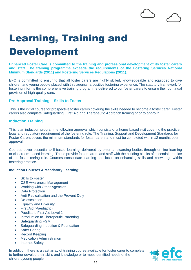# Learning, Training and Development

**Enhanced Foster Care is committed to the training and professional development of its foster carers and staff. The training programme exceeds the requirements of the Fostering Services National Minimum Standards (2011) and Fostering Services Regulations (2011).**

EFC is committed to ensuring that all foster carers are highly skilled, knowledgeable and equipped to give children and young people placed with this agency, a positive fostering experience. The statutory framework for fostering informs the comprehensive training programme delivered to our foster carers to ensure their continual provision of high-quality care.

#### **Pre-Approval Training – Skills to Foster**

This is the initial course for prospective foster carers covering the skills needed to become a foster carer. Foster carers also complete Safeguarding, First Aid and Therapeutic Approach training prior to approval.

#### **Induction Training**

This is an induction programme following approval which consists of a home-based visit covering the practice, legal and regulatory requirement of the fostering role. The Training, Support and Development Standards for Foster Carers covers the minimum standards for foster carers and must be completed within 12 months post approval.

Courses cover essential skill-based learning, delivered by external awarding bodies through on-line learning or classroom-based learning. These provide foster carers and staff with the building blocks of essential practice of the foster caring role. Courses consolidate learning and focus on enhancing skills and knowledge within fostering practice.

#### **Induction Courses & Mandatory Learning:**

- **Skills to Foster**
- **CSE Awareness Management**
- Working with Other Agencies
- Data Protection
- Anti-Radicalisation and the Prevent Duty
- De-escalation
- Equality and Diversity
- First Aid (Paediatric)
- Paediatric First Aid Level 2
- Introduction to Therapeutic Parenting
- Safeguarding FGM
- Safeguarding Induction & Foundation
- Safer Caring
- Record Keeping
- Medication Administration
- Internet Safety

In addition, there is a vast array of training course available for foster carer to complete to further develop their skills and knowledge or to meet identified needs of the children/young people.

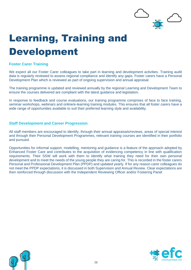

# Learning, Training and Development

#### **Foster Carer Training**

We expect all our Foster Carer colleagues to take part in learning and development activities. Training audit data is regularly reviewed to assess regional compliance and identify any gaps. Foster carers have a Personal Development Plan which is reviewed as part of ongoing supervision and annual appraisal.

The training programme is updated and reviewed annually by the regional Learning and Development Team to ensure the courses delivered are compliant with the latest guidance and legislation.

In response to feedback and course evaluations, our training programme comprises of face to face training, seminar workshops, webinars and online/e-learning training modules. This ensures that all foster carers have a wide range of opportunities available to suit their preferred learning style and availability.

#### **Staff Development and Career Progression**

All staff members are encouraged to identify, through their annual appraisals/reviews, areas of special interest and through their Personal Development Programmes, relevant training courses are identified in their portfolio and pursued.

Opportunities for informal support, modelling, mentoring and guidance is a feature of the approach adopted by Enhanced Foster Care and contributes to the acquisition of evidencing competency in line with qualification requirements. Their SSW will work with them to identify what training they need for their own personal development and to meet the needs of the young people they are caring for. This is recorded in the foster carers Personal and Professional Development Plan (PPDP) and updated yearly. If for any reason carer colleagues do not meet the PPDP expectations, it is discussed in both Supervision and Annual Review. Clear expectations are then reinforced through discussion with the Independent Reviewing Officer and/or Fostering Panel



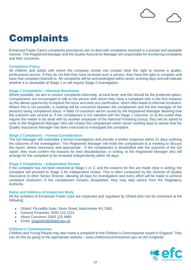**Complaints** 

Enhanced Foster Care's complaints procedures aim to deal with complaints received in a prompt and equitable manner. The Registered Manager and the Quality Assurance Manager are responsible for monitoring complaints and their outcomes.

#### **Complaints Policy**

All children and adults with whom the company comes into contact have the right to receive a quality, professional service. If they do not feel they have received such a service, they have the right to complain and have that complaint listened to. All complaints will be acknowledged within seven working days and will indicate whether it is resolvable at Stage 1 or will require Stage 2 investigation.

#### **Stage 1 Complaints – Informal Resolution**

Where possible, we aim to resolve complaints informally, at local level, and this should be the preferred option. Complainants are encouraged to talk to the person with whom they have a complaint with in the first instance as this allows opportunity to explore the issue and seek any clarification, which often leads to informal resolution. Where this is not possible, a meeting will be convened between the complainant and the line manager of the person/s being complained about. A letter of resolution will be issued by the Registered Manager detailing how the outcome was arrived at. If the complainant is not satisfied with the Stage 1 outcome, or at the outset they require the matter to be dealt with by another employee of the National Fostering Group; they will be asked to write to the Registered Manager who will contact the complainant within seven working days to advise that the Quality Assurance Manager has been instructed to investigate the complaint.

#### **Stage 2 Complaints – Formal Consideration**

The QA Manager will undertake a formal investigation and provide a written response within 21 days outlining the outcome of the investigation. The Registered Manager will invite the complainant to a meeting to discuss the report, where necessary and appropriate. If the complainant is dissatisfied with the outcome of the QA report, they must confirm the reasons for their dissatisfaction, in writing, to the Registered Manager who will arrange for the complaint to be reviewed independently within 28 days.

#### **Stage 3 Complaints – Independent Review**

If the complaint has not been resolved at Stage 1 or 2, and the reasons for this are made clear in writing; the complaint will proceed to Stage 3 for independent review. This is often conducted by the Director of Quality Assurance or other Senior Director, allowing 28 days for investigation and every effort will be made to achieve complaint resolution. If the complainant remains dissatisfied, they may take advice from the Regulatory Authority.

#### **Name and Address of Inspection Body**

All the activities of Enhanced Foster Care are inspected and regulated by Ofsted who can be contacted at the following:

- Ofsted, Piccadilly Gate, Store Street, Manchester M1 2WD
- General Enquiries: 0300 123 1231
- About Concerns: 0300 123 4666
- Email: [enquiries@ofsted.gov.uk](mailto:enquiries@ofsted.gov.uk)

#### **Children's Commissioner**

Children and Young People may also make a complaint to the Children's Commissioner based in England. They can do this by going to the appropriate website – www.childrenscommissioner.gov.uk (for England).

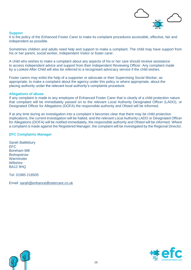

#### **Support**

It is the policy of the Enhanced Foster Carer to make its complaint procedures accessible, effective, fair and independent as possible.

Sometimes children and adults need help and support to make a complaint. The child may have support from his or her parent, social worker, Independent Visitor or foster carer.

A child who wishes to make a complaint about any aspects of his or her care should receive assistance to access independent advice and support from their Independent Reviewing Officer. Any complaint made by a Looked After Child will also be referred to a recognised advocacy service if the child wishes.

Foster carers may enlist the help of a supporter or advocate or their Supervising Social Worker, as appropriate, to make a complaint about the agency under this policy or where appropriate, about the placing authority under the relevant local authority's complaints procedure.

#### **Allegations of abuse**

If any complaint is made to any employee of Enhanced Foster Carer that is clearly of a child protection nature that complaint will be immediately passed on to the relevant Local Authority Designated Officer (LADO), or Designated Officer for Allegations (DOFA) the responsible authority and Ofsted will be informed.

If at any time during an investigation into a complaint it becomes clear that there may be child protection implications, the current investigation will be halted, and the relevant Local Authority LADO or Designated Officer for Allegations (DOFA) will be notified immediately, the responsible authority and Ofsted will be informed. Where a complaint is made against the Registered Manager, the complaint will be investigated by the Regional Director.

#### **EFC Complaints Manager**

Sarah Battlebury EFC Boreham Mill **Bishopstrow Warminster Wiltshire** BA12 9HQ

Tel: 01985 218505

Email: [sarah@enhancedfostercare.co.uk](mailto:sarah@enhancedfostercare.co.uk)



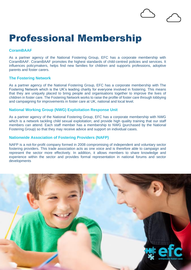### Professional Membership

#### **CoramBAAF**

As a partner agency of the National Fostering Group, EFC has a corporate membership with CoramBAAF. CoramBAAF promotes the highest standards of child-centred policies and services. It influences policymakers, helps find new families for children and supports professions, adoptive parents and foster carers.

#### **The Fostering Network**

As a partner agency of the National Fostering Group, EFC has a corporate membership with The Fostering Network which is the UK's leading charity for everyone involved in fostering. This means that they are uniquely placed to bring people and organisations together to improve the lives of children in foster care. The Fostering Network works to raise the profile of foster care through lobbying and campaigning for improvements in foster care at UK, national and local level.

#### **National Working Group (NWG) Exploitation Response Unit**

As a partner agency of the National Fostering Group, EFC has a corporate membership with NWG which is a network tackling child sexual exploitation; and provide high quality training that our staff members can attend. Each staff member has a membership to NWG (purchased by the National Fostering Group) so that they may receive advice and support on individual cases.

#### **Nationwide Association of Fostering Providers (NAFP)**

NAFP is a not-for-profit company formed in 2008 compromising of independent and voluntary sector fostering providers. This trade association acts as one voice and is therefore able to campaign and represent the sector more effectively. In addition, it allows members to share knowledge and experience within the sector and provides formal representation in national forums and sector developments